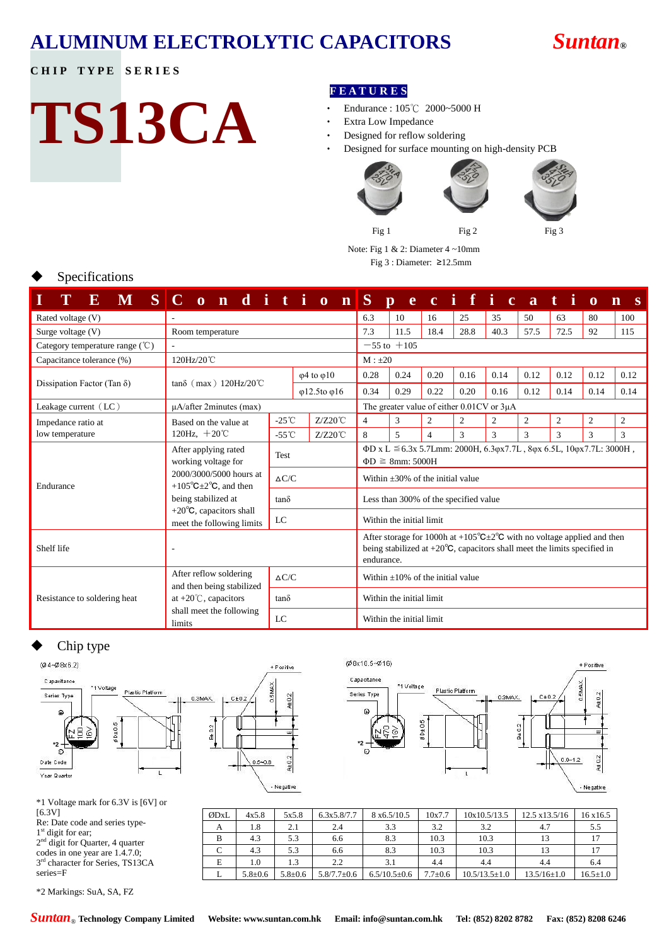# **ALUMINUM ELECTROLYTIC CAPACITORS** *Suntan***®**

### **CHIP TYPE SERIES**

# **TS13CA**

#### **F E A T U R E S**

- ‧ Endurance : 105℃ 2000~5000 H
- Extra Low Impedance
- Designed for reflow soldering
- Designed for surface mounting on high-density PCB



Note: Fig 1 & 2: Diameter 4 ~10mm

Fig 3 : Diameter: ≥12.5mm

|  |  |  | Specifications |
|--|--|--|----------------|
|--|--|--|----------------|

| E                                         | M S C o n d i t i o n S                                                                                        |                 |      |                             |                                                                                                                                                                                                      | $\mathbf{p}$                                                                                         |                | ecificati |      |      |                | $\mathbf 0$    | $\overline{\mathbf{n}}$<br>S |
|-------------------------------------------|----------------------------------------------------------------------------------------------------------------|-----------------|------|-----------------------------|------------------------------------------------------------------------------------------------------------------------------------------------------------------------------------------------------|------------------------------------------------------------------------------------------------------|----------------|-----------|------|------|----------------|----------------|------------------------------|
| Rated voltage (V)                         |                                                                                                                |                 |      |                             | 6.3                                                                                                                                                                                                  | 10                                                                                                   | 16             | 25        | 35   | 50   | 63             | 80             | 100                          |
| Surge voltage (V)                         | Room temperature                                                                                               |                 |      |                             | 7.3                                                                                                                                                                                                  | 11.5                                                                                                 | 18.4           | 28.8      | 40.3 | 57.5 | 72.5           | 92             | 115                          |
| Category temperature range $({\degree}C)$ |                                                                                                                |                 |      |                             |                                                                                                                                                                                                      | $-55$ to $+105$                                                                                      |                |           |      |      |                |                |                              |
| Capacitance tolerance (%)                 | 120Hz/20℃                                                                                                      |                 |      |                             | $M : \pm 20$                                                                                                                                                                                         |                                                                                                      |                |           |      |      |                |                |                              |
| Dissipation Factor (Tan $\delta$ )        | $tan\delta$ (max) 120Hz/20 <sup>°</sup> C                                                                      |                 |      | $\varphi$ 4 to $\varphi$ 10 | 0.28                                                                                                                                                                                                 | 0.24                                                                                                 | 0.20           | 0.16      | 0.14 | 0.12 | 0.12           | 0.12           | 0.12                         |
|                                           | $\varphi$ 12.5to $\varphi$ 16                                                                                  |                 | 0.34 | 0.29                        | 0.22                                                                                                                                                                                                 | 0.20                                                                                                 | 0.16           | 0.12      | 0.14 | 0.14 | 0.14           |                |                              |
| Leakage current $(LC)$                    | $\mu$ A/after 2minutes (max)                                                                                   |                 |      |                             |                                                                                                                                                                                                      | The greater value of either $0.01CV$ or $3\mu A$                                                     |                |           |      |      |                |                |                              |
| Impedance ratio at                        | Based on the value at<br>120Hz, $+20^{\circ}$ C                                                                | $-25^{\circ}$ C |      | $Z/Z20^{\circ}$ C           | 4                                                                                                                                                                                                    | 3                                                                                                    | $\overline{c}$ | 2         | 2    | 2    | $\mathfrak{2}$ | $\mathfrak{2}$ | $\mathfrak{2}$               |
| low temperature                           |                                                                                                                | $-55^{\circ}$ C |      | $Z/Z20^{\circ}$ C           | 8                                                                                                                                                                                                    | 5                                                                                                    | $\overline{4}$ | 3         | 3    | 3    | 3              | 3              | 3                            |
|                                           | After applying rated<br>Test<br>working voltage for                                                            |                 |      |                             |                                                                                                                                                                                                      | ΦD x L $\leq$ 6.3x 5.7Lmm: 2000H, 6.3φx7.7L, 8φx 6.5L, 10φx7.7L: 3000H,<br>$\Phi D \geq 8$ mm: 5000H |                |           |      |      |                |                |                              |
| Endurance                                 | 2000/3000/5000 hours at<br>+105 $\mathrm{^{\circ}C}$ ±2 $\mathrm{^{\circ}C}$ , and then<br>being stabilized at | $\Delta C/C$    |      |                             |                                                                                                                                                                                                      | Within $+30\%$ of the initial value                                                                  |                |           |      |      |                |                |                              |
|                                           |                                                                                                                | $tan\delta$     |      |                             | Less than 300% of the specified value                                                                                                                                                                |                                                                                                      |                |           |      |      |                |                |                              |
|                                           | +20 $\mathrm{^{\circ}C}$ , capacitors shall<br>LC<br>meet the following limits                                 |                 |      |                             | Within the initial limit                                                                                                                                                                             |                                                                                                      |                |           |      |      |                |                |                              |
| Shelf life                                |                                                                                                                |                 |      |                             | After storage for 1000h at +105 <sup>o</sup> $C \pm 2^{\circ}C$ with no voltage applied and then<br>being stabilized at $+20^{\circ}$ C, capacitors shall meet the limits specified in<br>endurance. |                                                                                                      |                |           |      |      |                |                |                              |
|                                           | After reflow soldering<br>and then being stabilized                                                            | $\Delta C/C$    |      |                             | Within $\pm 10\%$ of the initial value                                                                                                                                                               |                                                                                                      |                |           |      |      |                |                |                              |
| Resistance to soldering heat              | at $+20^{\circ}$ C, capacitors                                                                                 | $tan\delta$     |      |                             |                                                                                                                                                                                                      | Within the initial limit                                                                             |                |           |      |      |                |                |                              |
|                                           | shall meet the following<br>LC<br>limits                                                                       |                 |      | Within the initial limit    |                                                                                                                                                                                                      |                                                                                                      |                |           |      |      |                |                |                              |

### Chip type



| $*1$ Voltage mark for 6.3V is [6V] or |  |  |  |
|---------------------------------------|--|--|--|
| [6.3V]                                |  |  |  |
|                                       |  |  |  |

Re: Date code and series type-1<sup>st</sup> digit for ear; 2<sup>nd</sup> digit for Quarter, 4 quarter codes in one year are 1.4.7.0;

3<sup>rd</sup> character for Series, TS13CA series=F

\*2 Markings: SuA, SA, FZ

ØDxL 4x5.8 5x5.8 6.3x5.8/7.7 8 x6.5/10.5 10x7.7 10x10.5/13.5 12.5 x13.5/16 16 x16.5 A | 1.8 | 2.1 | 2.4 | 3.3 | 3.2 | 3.2 | 4.7 | 5.5 B | 4.3 | 5.3 | 6.6 | 8.3 | 10.3 | 10.3 | 13 | 17 C 4.3 5.3 6.6 8.3 10.3 10.3 13 17 E | 1.0 | 1.3 | 2.2 | 3.1 | 4.4 | 4.4 | 4.4 | 6.4 L  $5.8\pm0.6$   $5.8\pm0.6$   $5.8/7.7\pm0.6$   $6.5/10.5\pm0.6$   $7.7\pm0.6$   $10.5/13.5\pm1.0$   $13.5/16\pm1.0$   $16.5\pm1.0$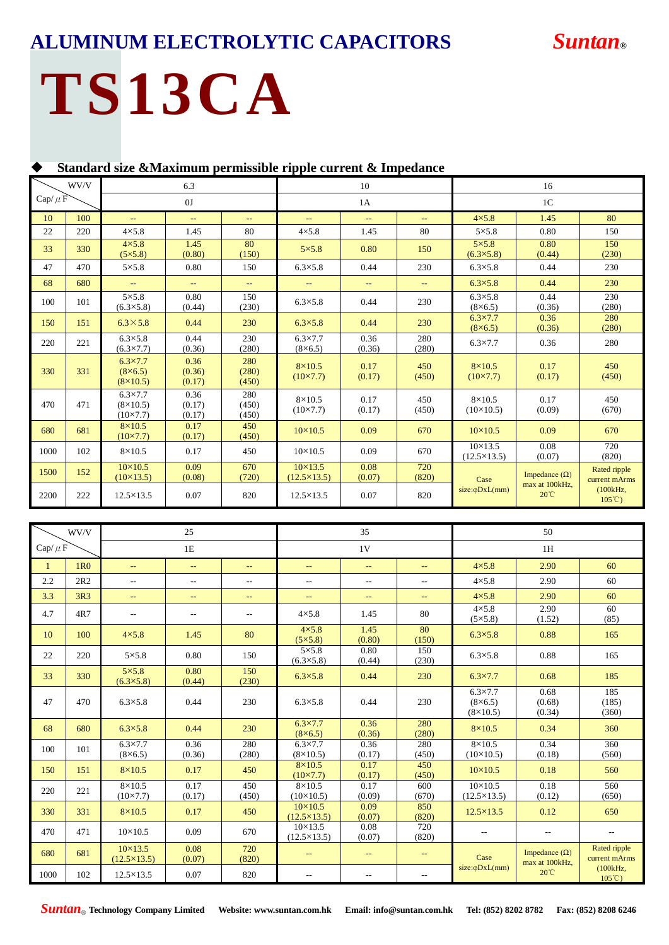# **ALUMINUM ELECTROLYTIC CAPACITORS** *Suntan***®**

# **TS13CA**

**Standard size &Maximum permissible ripple current & Impedance**

|              | WV/V |                                                          | 6.3                      |                          |                                          | 10                       | 16                       |                                          |                                  |                               |  |
|--------------|------|----------------------------------------------------------|--------------------------|--------------------------|------------------------------------------|--------------------------|--------------------------|------------------------------------------|----------------------------------|-------------------------------|--|
| Cap/ $\mu$ F |      |                                                          | 0J                       |                          |                                          | 1 <sup>C</sup><br>1A     |                          |                                          |                                  |                               |  |
| 10           | 100  | $-$                                                      | 44                       | $\qquad \qquad -$        | $- -$                                    | $-$                      | $- -$                    | $4\times5.8$                             | 1.45                             | 80                            |  |
| 22           | 220  | $4\times5.8$                                             | 1.45                     | 80                       | $4\times5.8$                             | 1.45                     | 80                       | $5\times5.8$                             | 0.80                             | 150                           |  |
| 33           | 330  | $4\times5.8$<br>$(5 \times 5.8)$                         | 1.45<br>(0.80)           | 80<br>(150)              | $5 \times 5.8$                           | 0.80                     | 150                      | $5\times5.8$<br>$(6.3 \times 5.8)$       | 0.80<br>(0.44)                   | 150<br>(230)                  |  |
| 47           | 470  | $5\times5.8$                                             | 0.80                     | 150                      | $6.3 \times 5.8$                         | 0.44                     | 230                      | $6.3 \times 5.8$                         | 0.44                             | 230                           |  |
| 68           | 680  | $\rightarrow$                                            | 44                       | $\overline{\phantom{m}}$ | $\qquad \qquad -$                        | $\overline{\phantom{a}}$ | $\overline{\phantom{m}}$ | $6.3 \times 5.8$                         | 0.44                             | 230                           |  |
| 100          | 101  | $5\times5.8$<br>$(6.3 \times 5.8)$                       | 0.80<br>(0.44)           | 150<br>(230)             | $6.3 \times 5.8$                         | 0.44                     | 230                      | $6.3 \times 5.8$<br>$(8\times 6.5)$      | 0.44<br>(0.36)                   | 230<br>(280)                  |  |
| 150          | 151  | $6.3\times5.8$                                           | 0.44                     | 230                      | $6.3 \times 5.8$                         | 0.44                     | 230                      | $6.3 \times 7.7$<br>$(8\times 6.5)$      | 0.36<br>(0.36)                   | 280<br>(280)                  |  |
| 220          | 221  | $6.3 \times 5.8$<br>$(6.3 \times 7.7)$                   | 0.44<br>(0.36)           | 230<br>(280)             | $6.3 \times 7.7$<br>$(8\times6.5)$       | 0.36<br>(0.36)           | 280<br>(280)             | $6.3 \times 7.7$                         | 0.36                             | 280                           |  |
| 330          | 331  | $6.3 \times 7.7$<br>$(8\times 6.5)$<br>$(8\times10.5)$   | 0.36<br>(0.36)<br>(0.17) | 280<br>(280)<br>(450)    | $8\times10.5$<br>$(10 \times 7.7)$       | 0.17<br>(0.17)           | 450<br>(450)             | $8\times10.5$<br>$(10 \times 7.7)$       | 0.17<br>(0.17)                   | 450<br>(450)                  |  |
| 470          | 471  | $6.3 \times 7.7$<br>$(8\times10.5)$<br>$(10 \times 7.7)$ | 0.36<br>(0.17)<br>(0.17) | 280<br>(450)<br>(450)    | $8\times10.5$<br>$(10 \times 7.7)$       | 0.17<br>(0.17)           | 450<br>(450)             | $8\times10.5$<br>$(10\times10.5)$        | 0.17<br>(0.09)                   | 450<br>(670)                  |  |
| 680          | 681  | $8\times10.5$<br>$(10 \times 7.7)$                       | 0.17<br>(0.17)           | 450<br>(450)             | $10 \times 10.5$                         | 0.09                     | 670                      | $10 \times 10.5$                         | 0.09                             | 670                           |  |
| 1000         | 102  | $8\times10.5$                                            | 0.17                     | 450                      | $10 \times 10.5$                         | 0.09                     | 670                      | $10 \times 13.5$<br>$(12.5 \times 13.5)$ | 0.08<br>(0.07)                   | 720<br>(820)                  |  |
| 1500         | 152  | $10 \times 10.5$<br>$(10\times13.5)$                     | 0.09<br>(0.08)           | 670<br>(720)             | $10 \times 13.5$<br>$(12.5 \times 13.5)$ | 0.08<br>(0.07)           | 720<br>(820)             | Case                                     | Impedance $(\Omega)$             | Rated ripple<br>current mArms |  |
| 2200         | 222  | $12.5 \times 13.5$                                       | 0.07                     | 820                      | $12.5 \times 13.5$                       | 0.07                     | 820                      | $size:\phi DxL(mm)$                      | max at 100kHz,<br>$20^{\circ}$ C | (100kHz,<br>$105^{\circ}$ C)  |  |

|              | WV/V            |                                          | 25             |                          | 35                                       |                             |                             | 50                                                    |                                        |                               |  |
|--------------|-----------------|------------------------------------------|----------------|--------------------------|------------------------------------------|-----------------------------|-----------------------------|-------------------------------------------------------|----------------------------------------|-------------------------------|--|
| Cap/ $\mu$ F |                 |                                          | $1\mathrm{E}$  |                          |                                          | 1V                          | 1H                          |                                                       |                                        |                               |  |
| 1            | 1 <sub>R0</sub> | $\overline{\phantom{a}}$                 | $- -$          | $\overline{\phantom{a}}$ | --                                       | $\overline{\phantom{m}}$    | $\sim$                      | $4\times5.8$                                          | 2.90                                   | 60                            |  |
| 2.2          | 2R2             | $\overline{\phantom{a}}$                 | $- -$          | $- -$                    | $- -$                                    | $\overline{\phantom{a}}$    | $\overline{\phantom{a}}$    | $4\times5.8$                                          | 2.90                                   | 60                            |  |
| 3.3          | 3R3             | $\overline{\phantom{a}}$                 | $- -$          | $\mathbf{u}$             | $\mathbb{Z}^{\mathbb{Z}}$                | $\mathcal{L}_{\mathcal{F}}$ | $\mathcal{L}_{\mathcal{F}}$ | $4\times5.8$                                          | 2.90                                   | 60                            |  |
| 4.7          | 4R7             | $-$                                      | $- -$          | $\overline{\phantom{m}}$ | $4\times5.8$                             | 1.45                        | 80                          | $4\times5.8$<br>$(5 \times 5.8)$                      | 2.90<br>(1.52)                         | 60<br>(85)                    |  |
| 10           | 100             | $4\times5.8$                             | 1.45           | 80                       | $4\times5.8$<br>$(5 \times 5.8)$         | 1.45<br>(0.80)              | 80<br>(150)                 | $6.3 \times 5.8$                                      | 0.88                                   | 165                           |  |
| 22           | 220             | $5\times5.8$                             | 0.80           | 150                      | $5\times5.8$<br>$(6.3 \times 5.8)$       | 0.80<br>(0.44)              | 150<br>(230)                | $6.3 \times 5.8$                                      | 0.88                                   | 165                           |  |
| 33           | 330             | $5\times5.8$<br>$(6.3 \times 5.8)$       | 0.80<br>(0.44) | 150<br>(230)             | $6.3 \times 5.8$                         | 0.44                        | 230                         | $6.3 \times 7.7$                                      | 0.68                                   | 185                           |  |
| 47           | 470             | $6.3 \times 5.8$                         | 0.44           | 230                      | $6.3 \times 5.8$                         | 0.44                        | 230                         | $6.3 \times 7.7$<br>$(8\times6.5)$<br>$(8\times10.5)$ | 0.68<br>(0.68)<br>(0.34)               | 185<br>(185)<br>(360)         |  |
| 68           | 680             | $6.3 \times 5.8$                         | 0.44           | 230                      | $6.3 \times 7.7$<br>$(8\times 6.5)$      | 0.36<br>(0.36)              | 280<br>(280)                | $8\times10.5$                                         | 0.34                                   | 360                           |  |
| 100          | 101             | $6.3 \times 7.7$<br>$(8\times6.5)$       | 0.36<br>(0.36) | 280<br>(280)             | $6.3 \times 7.7$<br>$(8\times10.5)$      | 0.36<br>(0.17)              | 280<br>(450)                | $8\times10.5$<br>$(10\times10.5)$                     | 0.34<br>(0.18)                         | 360<br>(560)                  |  |
| 150          | 151             | $8\times10.5$                            | 0.17           | 450                      | $8\times10.5$<br>$(10 \times 7.7)$       | 0.17<br>(0.17)              | 450<br>(450)                | $10 \times 10.5$                                      | 0.18                                   | 560                           |  |
| 220          | 221             | $8\times10.5$<br>$(10 \times 7.7)$       | 0.17<br>(0.17) | 450<br>(450)             | $8\times10.5$<br>$(10\times10.5)$        | 0.17<br>(0.09)              | 600<br>(670)                | $10 \times 10.5$<br>$(12.5 \times 13.5)$              | 0.18<br>(0.12)                         | 560<br>(650)                  |  |
| 330          | 331             | $8\times10.5$                            | 0.17           | 450                      | $10 \times 10.5$<br>$(12.5 \times 13.5)$ | 0.09<br>(0.07)              | 850<br>(820)                | $12.5 \times 13.5$                                    | 0.12                                   | 650                           |  |
| 470          | 471             | $10\times10.5$                           | 0.09           | 670                      | $10 \times 13.5$<br>$(12.5 \times 13.5)$ | 0.08<br>(0.07)              | 720<br>(820)                | $\overline{\phantom{m}}$                              | $ -$                                   | $\overline{a}$                |  |
| 680          | 681             | $10 \times 13.5$<br>$(12.5 \times 13.5)$ | 0.08<br>(0.07) | 720<br>(820)             |                                          | $\mathbf{u}$                | $\overline{\phantom{a}}$    | Case                                                  | Impedance $(\Omega)$<br>max at 100kHz, | Rated ripple<br>current mArms |  |
| 1000         | 102             | $12.5 \times 13.5$                       | 0.07           | 820                      | н.                                       | --                          | $- -$                       | $size:\phi DxL(mm)$                                   | $20^{\circ}$ C                         | (100kHz,<br>$105^{\circ}$ C)  |  |

*Suntan*® **Technology Company Limited Website: www.suntan.com.hk Email: info@suntan.com.hk Tel: (852) 8202 8782 Fax: (852) 8208 6246**